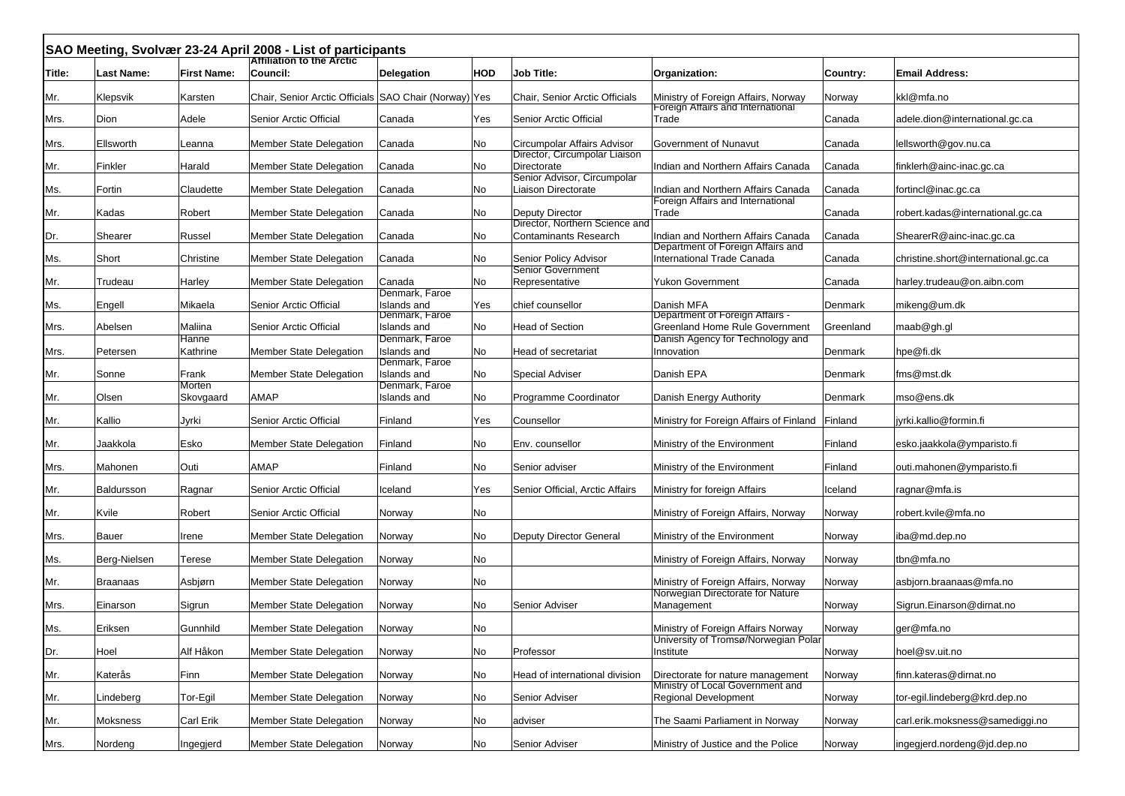|        |                   |                    | SAO Meeting, Svolvær 23-24 April 2008 - List of participants |                               |     |                                                              |                                                                           |           |                                     |
|--------|-------------------|--------------------|--------------------------------------------------------------|-------------------------------|-----|--------------------------------------------------------------|---------------------------------------------------------------------------|-----------|-------------------------------------|
| Title: | <b>Last Name:</b> | <b>First Name:</b> | <b>Attiliation to the Arctic</b><br>Council:                 | <b>Delegation</b>             | HOD | <b>Job Title:</b>                                            | Organization:                                                             | Country:  | <b>Email Address:</b>               |
| Mr.    | Klepsvik          | Karsten            | Chair, Senior Arctic Officials SAO Chair (Norway) Yes        |                               |     | Chair, Senior Arctic Officials                               | Ministry of Foreign Affairs, Norway<br>Foreign Affairs and International  | Norway    | kkl@mfa.no                          |
| Mrs.   | Dion              | Adele              | Senior Arctic Official                                       | Canada                        | Yes | Senior Arctic Official                                       | Trade                                                                     | Canada    | adele.dion@international.gc.ca      |
| Mrs.   | Ellsworth         | Leanna             | <b>Member State Delegation</b>                               | Canada                        | No  | Circumpolar Affairs Advisor<br>Director, Circumpolar Liaison | Government of Nunavut                                                     | Canada    | lellsworth@gov.nu.ca                |
| Mr.    | Finkler           | Harald             | <b>Member State Delegation</b>                               | Canada                        | No  | Directorate<br>Senior Advisor, Circumpolar                   | Indian and Northern Affairs Canada                                        | Canada    | finklerh@ainc-inac.gc.ca            |
| Ms.    | Fortin            | Claudette          | Member State Delegation                                      | Canada                        | No  | Liaison Directorate                                          | Indian and Northern Affairs Canada<br>Foreign Affairs and International   | Canada    | fortincl@inac.gc.ca                 |
| Mr.    | Kadas             | Robert             | <b>Member State Delegation</b>                               | Canada                        | No  | Deputy Director<br>Director, Northern Science and            | Trade                                                                     | Canada    | robert.kadas@international.gc.ca    |
| Dr.    | Shearer           | Russel             | Member State Delegation                                      | Canada                        | No  | <b>Contaminants Research</b>                                 | Indian and Northern Affairs Canada<br>Department of Foreign Affairs and   | Canada    | ShearerR@ainc-inac.gc.ca            |
| Ms.    | Short             | Christine          | <b>Member State Delegation</b>                               | Canada                        | No  | Senior Policy Advisor<br>Senior Government                   | International Trade Canada                                                | Canada    | christine.short@international.gc.ca |
| Mr.    | Trudeau           | Harley             | Member State Delegation                                      | Canada<br>Denmark, Faroe      | No  | Representative                                               | Yukon Government                                                          | Canada    | harley.trudeau@on.aibn.com          |
| Ms.    | Engell            | Mikaela            | Senior Arctic Official                                       | Islands and<br>Denmark, Faroe | Yes | chief counsellor                                             | Danish MFA<br>Department of Foreign Affairs -                             | Denmark   | mikeng@um.dk                        |
| Mrs.   | Abelsen           | Maliina            | Senior Arctic Official                                       | Islands and<br>Denmark, Faroe | No  | <b>Head of Section</b>                                       | <b>Greenland Home Rule Government</b><br>Danish Agency for Technology and | Greenland | maab@gh.gl                          |
| Mrs.   | Petersen          | Hanne<br>Kathrine  | <b>Member State Delegation</b>                               | Islands and<br>Denmark, Faroe | No  | Head of secretariat                                          | Innovation                                                                | Denmark   | hpe@fi.dk                           |
| Mr.    | Sonne             | Frank<br>Morten    | <b>Member State Delegation</b>                               | Islands and<br>Denmark, Faroe | No  | <b>Special Adviser</b>                                       | Danish EPA                                                                | Denmark   | fms@mst.dk                          |
| Mr.    | Olsen             | Skovgaard          | AMAP                                                         | Islands and                   | No  | Programme Coordinator                                        | Danish Energy Authority                                                   | Denmark   | mso@ens.dk                          |
| Mr.    | Kallio            | Jyrki              | Senior Arctic Official                                       | Finland                       | Yes | Counsellor                                                   | Ministry for Foreign Affairs of Finland                                   | Finland   | jyrki.kallio@formin.fi              |
| Mr.    | Jaakkola          | Esko               | <b>Member State Delegation</b>                               | Finland                       | No  | Env. counsellor                                              | Ministry of the Environment                                               | Finland   | esko.jaakkola@ymparisto.fi          |
| Mrs.   | Mahonen           | Outi               | <b>AMAP</b>                                                  | Finland                       | No  | Senior adviser                                               | Ministry of the Environment                                               | Finland   | outi.mahonen@ymparisto.fi           |
| Mr.    | Baldursson        | Ragnar             | Senior Arctic Official                                       | Iceland                       | Yes | Senior Official, Arctic Affairs                              | Ministry for foreign Affairs                                              | Iceland   | ragnar@mfa.is                       |
| Mr.    | Kvile             | Robert             | Senior Arctic Official                                       | Norway                        | No  |                                                              | Ministry of Foreign Affairs, Norway                                       | Norway    | robert.kvile@mfa.no                 |
| Mrs.   | Bauer             | Irene              | <b>Member State Delegation</b>                               | Norway                        | No  | Deputy Director General                                      | Ministry of the Environment                                               | Norway    | iba@md.dep.no                       |
| Ms.    | Berg-Nielsen      | Terese             | <b>Member State Delegation</b>                               | Norway                        | No  |                                                              | Ministry of Foreign Affairs, Norway                                       | Norway    | tbn@mfa.no                          |
| Mr.    | <b>Braanaas</b>   | Asbjørn            | Member State Delegation                                      | Norway                        | No  |                                                              | Ministry of Foreign Affairs, Norway                                       | Norway    | asbjorn.braanaas@mfa.no             |
| Mrs.   | Einarson          | Sigrun             | <b>Member State Delegation</b>                               | Norway                        | No  | Senior Adviser                                               | Norwegian Directorate for Nature<br>Management                            | Norway    | Sigrun.Einarson@dirnat.no           |
| Ms.    | Eriksen           | Gunnhild           | <b>Member State Delegation</b>                               | Norway                        | No  |                                                              | Ministry of Foreign Affairs Norway                                        | Norway    | ger@mfa.no                          |
| Dr.    | Hoel              | Alf Håkon          | <b>Member State Delegation</b>                               | Norway                        | No  | Professor                                                    | University of Tromsø/Norwegian Polar<br>Institute                         | Norway    | hoel@sv.uit.no                      |
| Mr.    | Katerås           | Finn               | Member State Delegation                                      | Norway                        | No  | Head of international division                               | Directorate for nature management                                         | Norway    | finn.kateras@dirnat.no              |
| Mr.    | Lindeberg         | Tor-Egil           | Member State Delegation                                      | Norway                        | No  | Senior Adviser                                               | Ministry of Local Government and<br><b>Regional Development</b>           | Norway    | tor-egil.lindeberg@krd.dep.no       |
| Mr.    | Moksness          | Carl Erik          | Member State Delegation                                      | Norway                        | No  | adviser                                                      | The Saami Parliament in Norway                                            | Norway    | carl.erik.moksness@samediggi.no     |
| Mrs.   | Nordeng           | Ingegjerd          | Member State Delegation                                      | Norway                        | No  | Senior Adviser                                               | Ministry of Justice and the Police                                        | Norway    | ingegjerd.nordeng@jd.dep.no         |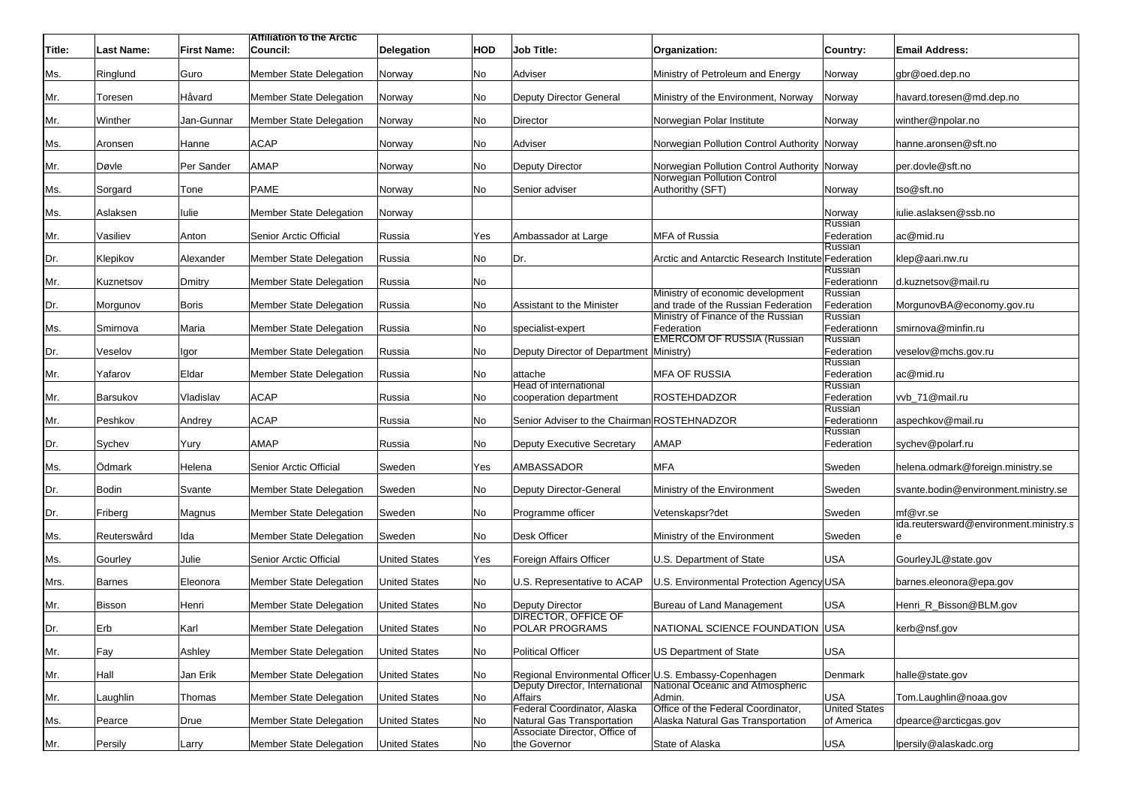| Title: | <b>Last Name:</b> | <b>First Name:</b> | <b>Attiliation to the Arctic</b><br>Council: | <b>Delegation</b>    | HOD | <b>Job Title:</b>                                         | Organization:                                                               | Country:                           | <b>Email Address:</b>                  |
|--------|-------------------|--------------------|----------------------------------------------|----------------------|-----|-----------------------------------------------------------|-----------------------------------------------------------------------------|------------------------------------|----------------------------------------|
|        |                   |                    |                                              |                      |     |                                                           |                                                                             |                                    |                                        |
| Ms.    | Ringlund          | Guro               | <b>Member State Delegation</b>               | Norway               | No  | Adviser                                                   | Ministry of Petroleum and Energy                                            | Norway                             | gbr@oed.dep.no                         |
| Mr.    | Toresen           | Håvard             | Member State Delegation                      | Norway               | No  | Deputy Director General                                   | Ministry of the Environment, Norway                                         | Norway                             | havard.toresen@md.dep.no               |
| Mr.    | Winther           | Jan-Gunnar         | <b>Member State Delegation</b>               | Norway               | No  | Director                                                  | Norwegian Polar Institute                                                   | Norway                             | winther@npolar.no                      |
| Ms.    | Aronsen           | Hanne              | <b>ACAP</b>                                  | Norway               | No  | Adviser                                                   | Norwegian Pollution Control Authority Norway                                |                                    | hanne.aronsen@sft.no                   |
| Mr.    | Døvle             | Per Sander         | <b>AMAP</b>                                  | Norway               | No  | Deputy Director                                           | Norwegian Pollution Control Authority Norway<br>Norwegian Pollution Control |                                    | per.dovle@sft.no                       |
| Ms.    | Sorgard           | Tone               | <b>PAME</b>                                  | Norway               | No  | Senior adviser                                            | Authorithy (SFT)                                                            | Norway                             | tso@sft.no                             |
| Ms.    | Aslaksen          | lulie              | <b>Member State Delegation</b>               | Norway               |     |                                                           |                                                                             | Norway                             | iulie.aslaksen@ssb.no                  |
| Mr.    | Vasiliev          | Anton              | Senior Arctic Official                       | Russia               | Yes | Ambassador at Large                                       | <b>MFA of Russia</b>                                                        | Russian<br>Federation              | ac@mid.ru                              |
| Dr.    | Klepikov          | Alexander          | <b>Member State Delegation</b>               | Russia               | No  | Dr.                                                       | Arctic and Antarctic Research Institute Federation                          | Russian                            | klep@aari.nw.ru                        |
| Mr.    | Kuznetsov         | Dmitry             | <b>Member State Delegation</b>               | Russia               | No  |                                                           |                                                                             | Russian<br>Federationn             | d.kuznetsov@mail.ru                    |
| Dr.    | Morgunov          | Boris              | <b>Member State Delegation</b>               | Russia               | No  | Assistant to the Minister                                 | Ministry of economic development<br>and trade of the Russian Federation     | Russian<br>Federation              | MorgunovBA@economy.gov.ru              |
| Ms.    | Smirnova          | Maria              | <b>Member State Delegation</b>               | Russia               | No  | specialist-expert                                         | Ministry of Finance of the Russian<br>Federation                            | Russian<br>Federationn             | smirnova@minfin.ru                     |
| Dr.    | Veselov           | Igor               | <b>Member State Delegation</b>               | Russia               | No  | Deputy Director of Department Ministry)                   | <b>EMERCOM OF RUSSIA (Russian</b>                                           | Russian<br>Federation              | veselov@mchs.gov.ru                    |
| Mr.    | Yafarov           | Eldar              | <b>Member State Delegation</b>               | Russia               | No  | attache                                                   | <b>MFA OF RUSSIA</b>                                                        | Russian<br>Federation              | ac@mid.ru                              |
| Mr.    | Barsukov          | Vladislav          | <b>ACAP</b>                                  | Russia               | No  | Head of international<br>cooperation department           | <b>ROSTEHDADZOR</b>                                                         | Russian<br>Federation              | vvb_71@mail.ru                         |
| Mr.    | Peshkov           | Andrey             | <b>ACAP</b>                                  | Russia               | No  | Senior Adviser to the Chairman ROSTEHNADZOR               |                                                                             | Russian<br>Federationn             | aspechkov@mail.ru                      |
| Dr.    | Sychev            | Yury               | AMAP                                         | Russia               | No  | <b>Deputy Executive Secretary</b>                         | <b>AMAP</b>                                                                 | Russian<br>Federation              | sychev@polarf.ru                       |
| Ms.    | Odmark            | Helena             | Senior Arctic Official                       | Sweden               | Yes | AMBASSADOR                                                | <b>MFA</b>                                                                  | Sweden                             | helena.odmark@foreign.ministry.se      |
| Dr.    | Bodin             | Svante             | Member State Delegation                      | Sweden               | No  | Deputy Director-General                                   | Ministry of the Environment                                                 | Sweden                             | svante.bodin@environment.ministry.se   |
| Dr.    | Friberg           | Magnus             | <b>Member State Delegation</b>               | Sweden               | No  | Programme officer                                         | Vetenskapsr?det                                                             | Sweden                             | mf@vr.se                               |
| Ms.    | Reuterswård       | Ida                | Member State Delegation                      | Sweden               | No  | Desk Officer                                              | Ministry of the Environment                                                 | Sweden                             | ida.reutersward@environment.ministry.s |
| Ms.    | Gourley           | Julie              | Senior Arctic Official                       | <b>United States</b> | Yes | Foreign Affairs Officer                                   | U.S. Department of State                                                    | USA                                | GourleyJL@state.gov                    |
| Mrs.   | Barnes            | Eleonora           | Member State Delegation                      | <b>United States</b> | No  | U.S. Representative to ACAP                               | U.S. Environmental Protection Agency USA                                    |                                    | barnes.eleonora@epa.gov                |
| Mr.    | Bisson            | Henri              | <b>Member State Delegation</b>               | <b>United States</b> | No  | Deputy Director                                           | Bureau of Land Management                                                   | USA                                | Henri_R_Bisson@BLM.gov                 |
| Dr.    | Erb               | Karl               | <b>Member State Delegation</b>               | <b>United States</b> | No  | <b>DIRECTOR, OFFICE OF</b><br>POLAR PROGRAMS              | NATIONAL SCIENCE FOUNDATION USA                                             |                                    | kerb@nsf.gov                           |
| Mr.    | Fay               | Ashley             | Member State Delegation                      | <b>United States</b> | No  | <b>Political Officer</b>                                  | <b>US Department of State</b>                                               | USA                                |                                        |
| Mr.    | Hall              | Jan Erik           | Member State Delegation                      | <b>United States</b> | No  | Regional Environmental Officer U.S. Embassy-Copenhagen    |                                                                             | Denmark                            | halle@state.gov                        |
| Mr.    | Laughlin          | Thomas             | Member State Delegation                      | <b>United States</b> | No  | Deputy Director, International<br>Affairs                 | National Oceanic and Atmospheric<br>Admin.                                  | <b>USA</b>                         | Tom.Laughlin@noaa.gov                  |
| Ms.    | Pearce            | Drue               | Member State Delegation                      | <b>United States</b> | No  | Federal Coordinator, Alaska<br>Natural Gas Transportation | Office of the Federal Coordinator,<br>Alaska Natural Gas Transportation     | <b>United States</b><br>of America | dpearce@arcticgas.gov                  |
| Mr.    | Persily           | Larry              | Member State Delegation                      | <b>United States</b> | No  | Associate Director, Office of<br>the Governor             | State of Alaska                                                             | <b>USA</b>                         | Ipersily@alaskadc.org                  |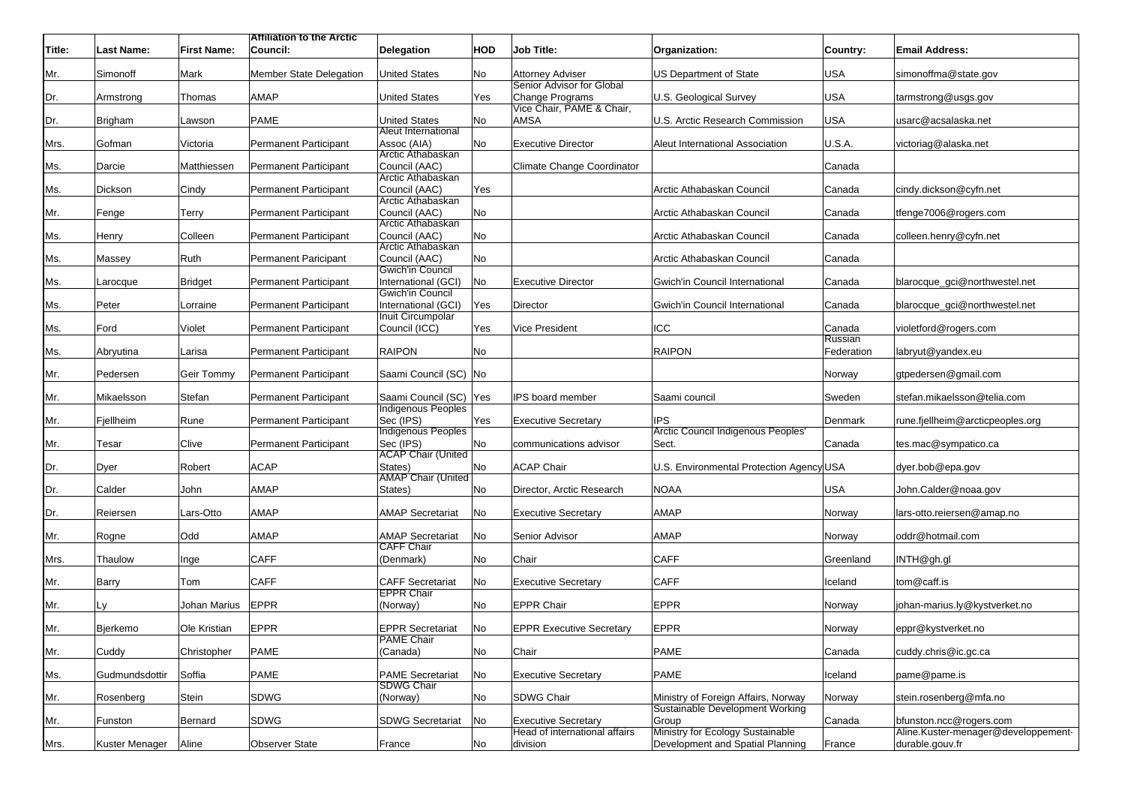|        |                   |                    | <b>Attiliation to the Arctic</b> |                                              |            |                                              |                                                                        |                   |                                     |
|--------|-------------------|--------------------|----------------------------------|----------------------------------------------|------------|----------------------------------------------|------------------------------------------------------------------------|-------------------|-------------------------------------|
| Title: | <b>Last Name:</b> | <b>First Name:</b> | Council:                         | <b>Delegation</b>                            | <b>HOD</b> | <b>Job Title:</b>                            | Organization:                                                          | Country:          | <b>Email Address:</b>               |
|        |                   |                    |                                  |                                              |            |                                              |                                                                        |                   |                                     |
| Mr.    | Simonoff          | Mark               | <b>Member State Delegation</b>   | <b>United States</b>                         | No         | Attorney Adviser                             | <b>US Department of State</b>                                          | <b>USA</b>        | simonoffma@state.gov                |
| Dr.    | Armstrong         | Thomas             | <b>AMAP</b>                      | <b>United States</b>                         | Yes        | Senior Advisor for Global<br>Change Programs | U.S. Geological Survey                                                 | <b>USA</b>        | tarmstrong@usgs.gov                 |
|        |                   |                    |                                  |                                              |            | Vice Chair, PAME & Chair,                    |                                                                        |                   |                                     |
| Dr.    | Brigham           | Lawson             | <b>PAME</b>                      | <b>United States</b>                         | No         | <b>AMSA</b>                                  | U.S. Arctic Research Commission                                        | <b>USA</b>        | usarc@acsalaska.net                 |
|        |                   |                    |                                  | Aleut International                          |            |                                              |                                                                        |                   |                                     |
| Mrs.   | Gofman            | Victoria           | <b>Permanent Participant</b>     | Assoc (AIA)                                  | No         | <b>Executive Director</b>                    | Aleut International Association                                        | U.S.A.            | victoriag@alaska.net                |
|        |                   |                    |                                  | Arctic Athabaskan                            |            |                                              |                                                                        |                   |                                     |
| Ms.    | Darcie            | Matthiessen        | <b>Permanent Participant</b>     | Council (AAC)<br>Arctic Athabaskan           |            | Climate Change Coordinator                   |                                                                        | Canada            |                                     |
| Ms.    | Dickson           | Cindy              | <b>Permanent Participant</b>     | Council (AAC)                                | Yes        |                                              | Arctic Athabaskan Council                                              | Canada            | cindy.dickson@cyfn.net              |
|        |                   |                    |                                  | Arctic Athabaskan                            |            |                                              |                                                                        |                   |                                     |
| Mr.    | Fenge             | Terry              | <b>Permanent Participant</b>     | Council (AAC)                                | No         |                                              | Arctic Athabaskan Council                                              | Canada            | tfenge7006@rogers.com               |
|        |                   |                    |                                  | Arctic Athabaskan                            |            |                                              |                                                                        |                   |                                     |
| Ms.    | Henry             | Colleen            | <b>Permanent Participant</b>     | Council (AAC)<br>Arctic Athabaskan           | No         |                                              | Arctic Athabaskan Council                                              | Canada            | colleen.henry@cyfn.net              |
| Ms.    | Massey            | Ruth               | Permanent Paricipant             | Council (AAC)                                | No         |                                              | Arctic Athabaskan Council                                              | Canada            |                                     |
|        |                   |                    |                                  | Gwich'in Council                             |            |                                              |                                                                        |                   |                                     |
| Ms.    | Larocque          | Bridget            | <b>Permanent Participant</b>     | International (GCI)                          | No         | <b>Executive Director</b>                    | Gwich'in Council International                                         | Canada            | blarocque_gci@northwestel.net       |
|        |                   |                    |                                  | Gwich'in Council                             |            |                                              |                                                                        |                   |                                     |
| Ms.    | Peter             | Lorraine           | Permanent Participant            | International (GCI)                          | Yes        | Director                                     | Gwich'in Council International                                         | Canada            | blarocque_gci@northwestel.net       |
|        |                   |                    | <b>Permanent Participant</b>     | Inuit Circumpolar                            |            |                                              | ICC                                                                    |                   |                                     |
| Ms.    | Ford              | Violet             |                                  | Council (ICC)                                | Yes        | <b>Vice President</b>                        |                                                                        | Canada<br>Russian | violetford@rogers.com               |
| Ms.    | Abryutina         | Larisa             | <b>Permanent Participant</b>     | <b>RAIPON</b>                                | No         |                                              | <b>RAIPON</b>                                                          | Federation        | labryut@yandex.eu                   |
|        |                   |                    |                                  |                                              |            |                                              |                                                                        |                   |                                     |
| Mr.    | Pedersen          | Geir Tommy         | <b>Permanent Participant</b>     | Saami Council (SC) No                        |            |                                              |                                                                        | Norway            | gtpedersen@gmail.com                |
|        |                   |                    |                                  |                                              |            |                                              |                                                                        |                   |                                     |
| Mr.    | Mikaelsson        | Stefan             | <b>Permanent Participant</b>     | Saami Council (SC) Yes<br>Indigenous Peoples |            | IPS board member                             | Saami council                                                          | Sweden            | stefan.mikaelsson@telia.com         |
| Mr.    | Fjellheim         | Rune               | <b>Permanent Participant</b>     | Sec (IPS)                                    | Yes        | <b>Executive Secretary</b>                   | <b>IPS</b>                                                             | Denmark           | rune.fjellheim@arcticpeoples.org    |
|        |                   |                    |                                  | <b>Indigenous Peoples</b>                    |            |                                              | Arctic Council Indigenous Peoples'                                     |                   |                                     |
| Mr.    | Tesar             | Clive              | <b>Permanent Participant</b>     | Sec (IPS)                                    | No         | communications advisor                       | Sect.                                                                  | Canada            | tes.mac@sympatico.ca                |
|        |                   |                    |                                  | <b>ACAP Chair (United</b>                    |            |                                              |                                                                        |                   |                                     |
| Dr.    | Dyer              | Robert             | <b>ACAP</b>                      | States)<br>AMAP Chair (United                | No         | <b>ACAP Chair</b>                            | U.S. Environmental Protection Agency USA                               |                   | dyer.bob@epa.gov                    |
| Dr.    | Calder            | John               | <b>AMAP</b>                      | States)                                      | No         | Director, Arctic Research                    | <b>NOAA</b>                                                            | <b>USA</b>        | John.Calder@noaa.gov                |
|        |                   |                    |                                  |                                              |            |                                              |                                                                        |                   |                                     |
| Dr.    | Reiersen          | Lars-Otto          | AMAP                             | <b>AMAP Secretariat</b>                      | No         | <b>Executive Secretary</b>                   | <b>AMAP</b>                                                            | Norway            | lars-otto.reiersen@amap.no          |
|        |                   |                    |                                  |                                              |            |                                              |                                                                        |                   |                                     |
| Mr.    | Rogne             | Odd                | <b>AMAP</b>                      | <b>AMAP Secretariat</b>                      | No         | Senior Advisor                               | <b>AMAP</b>                                                            | Norway            | oddr@hotmail.com                    |
|        | Thaulow           |                    | <b>CAFF</b>                      | <b>CAFF Chair</b><br>(Denmark)               | No         | Chair                                        | <b>CAFF</b>                                                            | Greenland         | INTH@gh.gl                          |
| Mrs.   |                   | Inge               |                                  |                                              |            |                                              |                                                                        |                   |                                     |
| Mr.    | Barry             | Tom                | <b>CAFF</b>                      | <b>CAFF Secretariat</b>                      | No         | <b>Executive Secretary</b>                   | <b>CAFF</b>                                                            | Iceland           | tom@caff.is                         |
|        |                   |                    |                                  | <b>EPPR Chair</b>                            |            |                                              |                                                                        |                   |                                     |
| Mr.    | Ly                | Johan Marius       | <b>EPPR</b>                      | (Norway)                                     | No         | <b>EPPR Chair</b>                            | <b>EPPR</b>                                                            | Norway            | ohan-marius.ly@kystverket.no        |
|        |                   |                    |                                  |                                              |            |                                              |                                                                        |                   |                                     |
| Mr.    | Bierkemo          | Ole Kristian       | <b>EPPR</b>                      | <b>EPPR Secretariat</b><br><b>PAME Chair</b> | No         | <b>EPPR Executive Secretary</b>              | <b>EPPR</b>                                                            | Norway            | eppr@kystverket.no                  |
| Mr.    | Cuddy             | Christopher        | PAME                             | (Canada)                                     | No         | Chair                                        | <b>PAME</b>                                                            | Canada            | cuddy.chris@ic.gc.ca                |
|        |                   |                    |                                  |                                              |            |                                              |                                                                        |                   |                                     |
| Ms.    | Gudmundsdottir    | Soffia             | PAME                             | <b>PAME Secretariat</b>                      | No         | <b>Executive Secretary</b>                   | PAME                                                                   | Iceland           | pame@pame.is                        |
|        |                   |                    |                                  | <b>SDWG Chair</b>                            |            |                                              |                                                                        |                   |                                     |
| Mr.    | Rosenberg         | Stein              | <b>SDWG</b>                      | (Norway)                                     | No         | <b>SDWG Chair</b>                            | Ministry of Foreign Affairs, Norway<br>Sustainable Development Working | Norway            | stein.rosenberg@mfa.no              |
| Mr.    | Funston           | Bernard            | SDWG                             | <b>SDWG Secretariat</b>                      | No         | <b>Executive Secretary</b>                   | Group                                                                  | Canada            | bfunston.ncc@rogers.com             |
|        |                   |                    |                                  |                                              |            | Head of international affairs                | Ministry for Ecology Sustainable                                       |                   | Aline.Kuster-menager@developpement- |
| Mrs.   | Kuster Menager    | Aline              | <b>Observer State</b>            | France                                       | No         | division                                     | Development and Spatial Planning                                       | France            | durable.gouv.fr                     |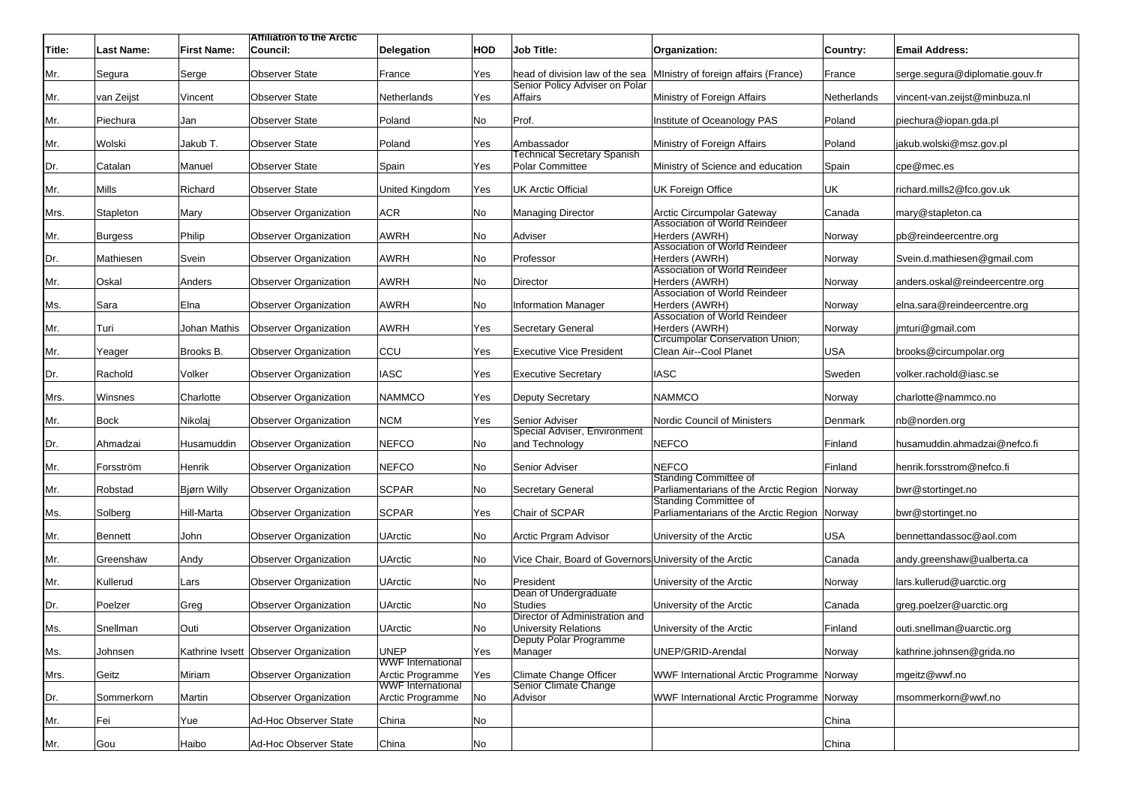|        |                   |                    | <b>Attiliation to the Arctic</b>      |                                              |     |                                                               |                                                                       |             |                                 |
|--------|-------------------|--------------------|---------------------------------------|----------------------------------------------|-----|---------------------------------------------------------------|-----------------------------------------------------------------------|-------------|---------------------------------|
| Title: | <b>Last Name:</b> | <b>First Name:</b> | Council:                              | <b>Delegation</b>                            | HOD | <b>Job Title:</b>                                             | Organization:                                                         | Country:    | <b>Email Address:</b>           |
| Mr.    | Segura            | Serge              | <b>Observer State</b>                 | France                                       | Yes | Senior Policy Adviser on Polar                                | head of division law of the sea Ministry of foreign affairs (France)  | France      | serge.segura@diplomatie.gouv.fr |
| Mr.    | van Zeijst        | Vincent            | <b>Observer State</b>                 | Netherlands                                  | Yes | Affairs                                                       | Ministry of Foreign Affairs                                           | Netherlands | vincent-van.zeijst@minbuza.nl   |
| Mr.    | Piechura          | Jan                | <b>Observer State</b>                 | Poland                                       | No  | Prof.                                                         | Institute of Oceanology PAS                                           | Poland      | piechura@iopan.gda.pl           |
| Mr.    | Wolski            | Jakub T.           | <b>Observer State</b>                 | Poland                                       | Yes | Ambassador                                                    | Ministry of Foreign Affairs                                           | Poland      | jakub.wolski@msz.gov.pl         |
| Dr.    | Catalan           | Manuel             | <b>Observer State</b>                 | Spain                                        | Yes | Technical Secretary Spanish<br>Polar Committee                | Ministry of Science and education                                     | Spain       | cpe@mec.es                      |
|        |                   |                    |                                       |                                              |     |                                                               |                                                                       |             |                                 |
| Mr.    | Mills             | Richard            | <b>Observer State</b>                 | United Kingdom                               | Yes | <b>UK Arctic Official</b>                                     | UK Foreign Office                                                     | UK          | richard.mills2@fco.gov.uk       |
| Mrs.   | Stapleton         | Mary               | Observer Organization                 | <b>ACR</b>                                   | No  | <b>Managing Director</b>                                      | Arctic Circumpolar Gateway                                            | Canada      | mary@stapleton.ca               |
| Mr.    | <b>Burgess</b>    | Philip             | Observer Organization                 | AWRH                                         | No  | Adviser                                                       | Association of World Reindeer<br>Herders (AWRH)                       | Norway      | pb@reindeercentre.org           |
| Dr.    | Mathiesen         | Svein              | Observer Organization                 | <b>AWRH</b>                                  | No  | Professor                                                     | Association of World Reindeer<br>Herders (AWRH)                       | Norway      | Svein.d.mathiesen@gmail.com     |
|        |                   |                    |                                       |                                              |     |                                                               | Association of World Reindeer                                         |             |                                 |
| Mr.    | Oskal             | Anders             | Observer Organization                 | AWRH                                         | No  | Director                                                      | Herders (AWRH)<br>Association of World Reindeer                       | Norway      | anders.oskal@reindeercentre.org |
| Ms.    | Sara              | Elna               | <b>Observer Organization</b>          | <b>AWRH</b>                                  | No  | <b>Information Manager</b>                                    | Herders (AWRH)                                                        | Norway      | elna.sara@reindeercentre.org    |
|        |                   |                    |                                       |                                              |     |                                                               | Association of World Reindeer                                         |             |                                 |
| Mr.    | Turi              | Johan Mathis       | <b>Observer Organization</b>          | <b>AWRH</b>                                  | Yes | Secretary General                                             | Herders (AWRH)<br>Circumpolar Conservation Union;                     | Norway      | jmturi@gmail.com                |
| Mr.    | Yeager            | Brooks B.          | <b>Observer Organization</b>          | CCU                                          | Yes | <b>Executive Vice President</b>                               | Clean Air--Cool Planet                                                | USA         | brooks@circumpolar.org          |
| Dr.    | Rachold           | Volker             | Observer Organization                 | <b>IASC</b>                                  | Yes | <b>Executive Secretary</b>                                    | <b>IASC</b>                                                           | Sweden      | volker.rachold@iasc.se          |
| Mrs.   | Winsnes           | Charlotte          | <b>Observer Organization</b>          | <b>NAMMCO</b>                                | Yes | Deputy Secretary                                              | <b>NAMMCO</b>                                                         | Norway      | charlotte@nammco.no             |
| Mr.    | <b>Bock</b>       | Nikolaj            | Observer Organization                 | <b>NCM</b>                                   | Yes | Senior Adviser                                                | Nordic Council of Ministers                                           | Denmark     | nb@norden.org                   |
|        |                   |                    | Observer Organization                 | <b>NEFCO</b>                                 | No  | Special Adviser, Environment<br>and Technology                | <b>NEFCO</b>                                                          |             | husamuddin.ahmadzai@nefco.fi    |
| Dr.    | Ahmadzai          | Husamuddin         |                                       |                                              |     |                                                               |                                                                       | Finland     |                                 |
| Mr.    | Forsström         | Henrik             | <b>Observer Organization</b>          | <b>NEFCO</b>                                 | No  | Senior Adviser                                                | <b>NEFCO</b><br><b>Standing Committee of</b>                          | Finland     | henrik.forsstrom@nefco.fi       |
| Mr.    | Robstad           | Bjørn Willy        | <b>Observer Organization</b>          | <b>SCPAR</b>                                 | No  | <b>Secretary General</b>                                      | Parliamentarians of the Arctic Region Norway                          |             | bwr@stortinget.no               |
| Ms.    | Solberg           | Hill-Marta         | Observer Organization                 | <b>SCPAR</b>                                 | Yes | Chair of SCPAR                                                | Standing Committee of<br>Parliamentarians of the Arctic Region Norway |             | bwr@stortinget.no               |
| Mr.    | <b>Bennett</b>    | John               | <b>Observer Organization</b>          | UArctic                                      | No  | Arctic Prgram Advisor                                         | University of the Arctic                                              | <b>USA</b>  | bennettandassoc@aol.com         |
| Mr.    | Greenshaw         | Andy               | <b>Observer Organization</b>          | <b>UArctic</b>                               | No  | Vice Chair, Board of Governors University of the Arctic       |                                                                       | Canada      | andy.greenshaw@ualberta.ca      |
|        |                   |                    | Observer Organization                 | <b>UArctic</b>                               | No  | President                                                     | University of the Arctic                                              |             | lars.kullerud@uarctic.org       |
| Mr.    | Kullerud          | Lars               |                                       |                                              |     | Dean of Undergraduate                                         |                                                                       | Norway      |                                 |
| Dr.    | Poelzer           | Greg               | <b>Observer Organization</b>          | UArctic                                      | No  | <b>Studies</b>                                                | University of the Arctic                                              | Canada      | greg.poelzer@uarctic.org        |
| Ms.    | Snellman          | Outi               | <b>Observer Organization</b>          | <b>UArctic</b>                               | No  | Director of Administration and<br><b>University Relations</b> | University of the Arctic                                              | Finland     | outi.snellman@uarctic.org       |
| Ms.    | Johnsen           |                    | Kathrine Ivsett Observer Organization | <b>UNEP</b>                                  | Yes | Deputy Polar Programme<br>Manager                             | UNEP/GRID-Arendal                                                     | Norway      | kathrine.johnsen@grida.no       |
|        |                   |                    |                                       | <b>WWF</b> International                     |     |                                                               |                                                                       |             |                                 |
| Mrs.   | Geitz             | Miriam             | <b>Observer Organization</b>          | Arctic Programme<br><b>WWF</b> International | Yes | Climate Change Officer<br>Senior Climate Change               | WWF International Arctic Programme Norway                             |             | mgeitz@wwf.no                   |
| Dr.    | Sommerkorn        | Martin             | Observer Organization                 | Arctic Programme                             | No  | Advisor                                                       | WWF International Arctic Programme Norway                             |             | msommerkorn@wwf.no              |
| Mr.    | Fei               | Yue                | Ad-Hoc Observer State                 | China                                        | No  |                                                               |                                                                       | China       |                                 |
| Mr.    | Gou               | Haibo              | Ad-Hoc Observer State                 | China                                        | No  |                                                               |                                                                       | China       |                                 |